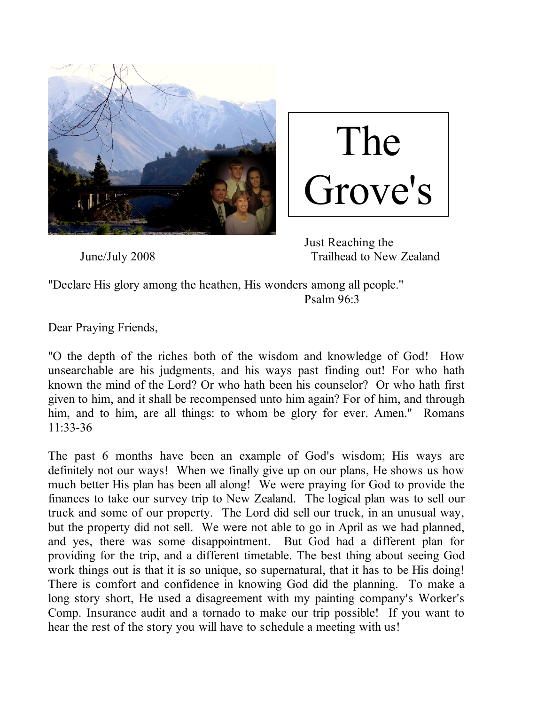

The Grove's

 Just Reaching the June/July 2008 Trailhead to New Zealand

"Declare His glory among the heathen, His wonders among all people." Psalm 96:3

Dear Praying Friends,

"O the depth of the riches both of the wisdom and knowledge of God! How unsearchable are his judgments, and his ways past finding out! For who hath known the mind of the Lord? Or who hath been his counselor? Or who hath first given to him, and it shall be recompensed unto him again? For of him, and through him, and to him, are all things: to whom be glory for ever. Amen." Romans 11:33-36

The past 6 months have been an example of God's wisdom; His ways are definitely not our ways! When we finally give up on our plans, He shows us how much better His plan has been all along! We were praying for God to provide the finances to take our survey trip to New Zealand. The logical plan was to sell our truck and some of our property. The Lord did sell our truck, in an unusual way, but the property did not sell. We were not able to go in April as we had planned, and yes, there was some disappointment. But God had a different plan for providing for the trip, and a different timetable. The best thing about seeing God work things out is that it is so unique, so supernatural, that it has to be His doing! There is comfort and confidence in knowing God did the planning. To make a long story short, He used a disagreement with my painting company's Worker's Comp. Insurance audit and a tornado to make our trip possible! If you want to hear the rest of the story you will have to schedule a meeting with us!